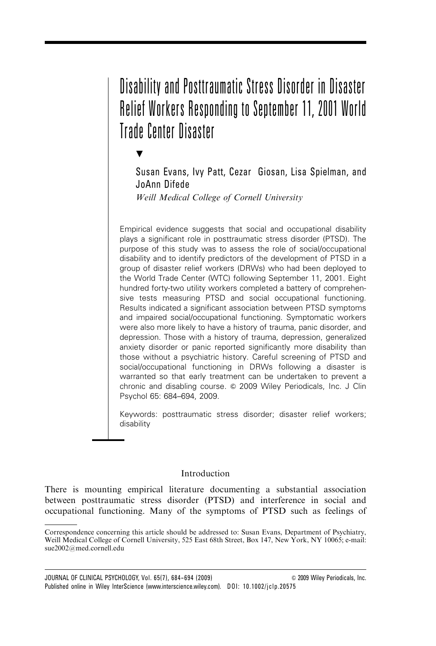# Disability and Posttraumatic Stress Disorder in Disaster Relief Workers Responding to September 11, 2001 World Trade Center Disaster

Susan Evans, Ivy Patt, Cezar Giosan, Lisa Spielman, and JoAnn Difede

Weill Medical College of Cornell University

 $\blacktriangledown$ 

Empirical evidence suggests that social and occupational disability plays a significant role in posttraumatic stress disorder (PTSD). The purpose of this study was to assess the role of social/occupational disability and to identify predictors of the development of PTSD in a group of disaster relief workers (DRWs) who had been deployed to the World Trade Center (WTC) following September 11, 2001. Eight hundred forty-two utility workers completed a battery of comprehensive tests measuring PTSD and social occupational functioning. Results indicated a significant association between PTSD symptoms and impaired social/occupational functioning. Symptomatic workers were also more likely to have a history of trauma, panic disorder, and depression. Those with a history of trauma, depression, generalized anxiety disorder or panic reported significantly more disability than those without a psychiatric history. Careful screening of PTSD and social/occupational functioning in DRWs following a disaster is warranted so that early treatment can be undertaken to prevent a chronic and disabling course. @ 2009 Wiley Periodicals, Inc. J Clin Psychol 65: 684–694, 2009.

Keywords: posttraumatic stress disorder; disaster relief workers; disability

## Introduction

There is mounting empirical literature documenting a substantial association between posttraumatic stress disorder (PTSD) and interference in social and occupational functioning. Many of the symptoms of PTSD such as feelings of

Correspondence concerning this article should be addressed to: Susan Evans, Department of Psychiatry, Weill Medical College of Cornell University, 525 East 68th Street, Box 147, New York, NY 10065; e-mail: sue2002@med.cornell.edu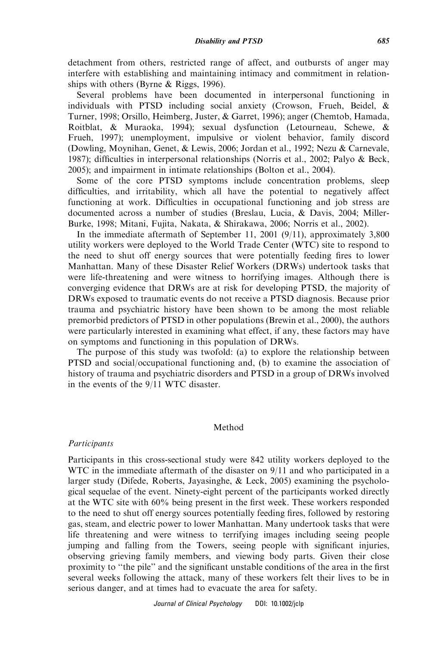detachment from others, restricted range of affect, and outbursts of anger may interfere with establishing and maintaining intimacy and commitment in relationships with others (Byrne & Riggs, 1996).

Several problems have been documented in interpersonal functioning in individuals with PTSD including social anxiety (Crowson, Frueh, Beidel, & Turner, 1998; Orsillo, Heimberg, Juster, & Garret, 1996); anger (Chemtob, Hamada, Roitblat, & Muraoka, 1994); sexual dysfunction (Letourneau, Schewe, & Frueh, 1997); unemployment, impulsive or violent behavior, family discord (Dowling, Moynihan, Genet, & Lewis, 2006; Jordan et al., 1992; Nezu & Carnevale, 1987); difficulties in interpersonal relationships (Norris et al., 2002; Palyo & Beck, 2005); and impairment in intimate relationships (Bolton et al., 2004).

Some of the core PTSD symptoms include concentration problems, sleep difficulties, and irritability, which all have the potential to negatively affect functioning at work. Difficulties in occupational functioning and job stress are documented across a number of studies (Breslau, Lucia, & Davis, 2004; Miller-Burke, 1998; Mitani, Fujita, Nakata, & Shirakawa, 2006; Norris et al., 2002).

In the immediate aftermath of September 11, 2001 (9/11), approximately 3,800 utility workers were deployed to the World Trade Center (WTC) site to respond to the need to shut off energy sources that were potentially feeding fires to lower Manhattan. Many of these Disaster Relief Workers (DRWs) undertook tasks that were life-threatening and were witness to horrifying images. Although there is converging evidence that DRWs are at risk for developing PTSD, the majority of DRWs exposed to traumatic events do not receive a PTSD diagnosis. Because prior trauma and psychiatric history have been shown to be among the most reliable premorbid predictors of PTSD in other populations (Brewin et al., 2000), the authors were particularly interested in examining what effect, if any, these factors may have on symptoms and functioning in this population of DRWs.

The purpose of this study was twofold: (a) to explore the relationship between PTSD and social/occupational functioning and, (b) to examine the association of history of trauma and psychiatric disorders and PTSD in a group of DRWs involved in the events of the 9/11 WTC disaster.

#### Method

#### Participants

Participants in this cross-sectional study were 842 utility workers deployed to the WTC in the immediate aftermath of the disaster on 9/11 and who participated in a larger study (Difede, Roberts, Jayasinghe, & Leck, 2005) examining the psychological sequelae of the event. Ninety-eight percent of the participants worked directly at the WTC site with 60% being present in the first week. These workers responded to the need to shut off energy sources potentially feeding fires, followed by restoring gas, steam, and electric power to lower Manhattan. Many undertook tasks that were life threatening and were witness to terrifying images including seeing people jumping and falling from the Towers, seeing people with significant injuries, observing grieving family members, and viewing body parts. Given their close proximity to ''the pile'' and the significant unstable conditions of the area in the first several weeks following the attack, many of these workers felt their lives to be in serious danger, and at times had to evacuate the area for safety.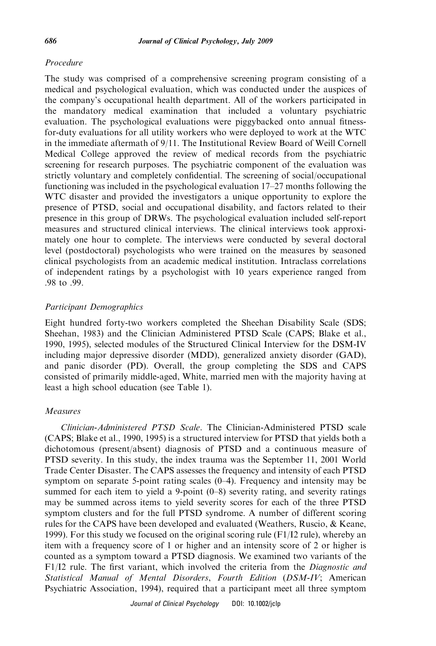### Procedure

The study was comprised of a comprehensive screening program consisting of a medical and psychological evaluation, which was conducted under the auspices of the company's occupational health department. All of the workers participated in the mandatory medical examination that included a voluntary psychiatric evaluation. The psychological evaluations were piggybacked onto annual fitnessfor-duty evaluations for all utility workers who were deployed to work at the WTC in the immediate aftermath of 9/11. The Institutional Review Board of Weill Cornell Medical College approved the review of medical records from the psychiatric screening for research purposes. The psychiatric component of the evaluation was strictly voluntary and completely confidential. The screening of social/occupational functioning was included in the psychological evaluation 17–27 months following the WTC disaster and provided the investigators a unique opportunity to explore the presence of PTSD, social and occupational disability, and factors related to their presence in this group of DRWs. The psychological evaluation included self-report measures and structured clinical interviews. The clinical interviews took approximately one hour to complete. The interviews were conducted by several doctoral level (postdoctoral) psychologists who were trained on the measures by seasoned clinical psychologists from an academic medical institution. Intraclass correlations of independent ratings by a psychologist with 10 years experience ranged from .98 to .99.

## Participant Demographics

Eight hundred forty-two workers completed the Sheehan Disability Scale (SDS; Sheehan, 1983) and the Clinician Administered PTSD Scale (CAPS; Blake et al., 1990, 1995), selected modules of the Structured Clinical Interview for the DSM-IV including major depressive disorder (MDD), generalized anxiety disorder (GAD), and panic disorder (PD). Overall, the group completing the SDS and CAPS consisted of primarily middle-aged, White, married men with the majority having at least a high school education (see Table 1).

#### Measures

Clinician-Administered PTSD Scale. The Clinician-Administered PTSD scale (CAPS; Blake et al., 1990, 1995) is a structured interview for PTSD that yields both a dichotomous (present/absent) diagnosis of PTSD and a continuous measure of PTSD severity. In this study, the index trauma was the September 11, 2001 World Trade Center Disaster. The CAPS assesses the frequency and intensity of each PTSD symptom on separate 5-point rating scales (0–4). Frequency and intensity may be summed for each item to yield a 9-point  $(0-8)$  severity rating, and severity ratings may be summed across items to yield severity scores for each of the three PTSD symptom clusters and for the full PTSD syndrome. A number of different scoring rules for the CAPS have been developed and evaluated (Weathers, Ruscio, & Keane, 1999). For this study we focused on the original scoring rule  $(F1/I2$  rule), whereby an item with a frequency score of 1 or higher and an intensity score of 2 or higher is counted as a symptom toward a PTSD diagnosis. We examined two variants of the F1/I2 rule. The first variant, which involved the criteria from the *Diagnostic and* Statistical Manual of Mental Disorders, Fourth Edition (DSM-IV; American Psychiatric Association, 1994), required that a participant meet all three symptom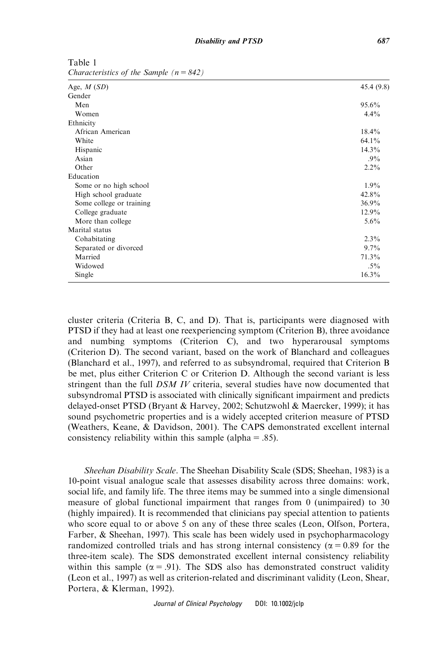Table 1 Characteristics of the Sample  $(n = 842)$ 

| Age, $M(SD)$             | 45.4(9.8) |
|--------------------------|-----------|
| Gender                   |           |
| Men                      | $95.6\%$  |
| Women                    | 4.4%      |
| Ethnicity                |           |
| African American         | $18.4\%$  |
| White                    | $64.1\%$  |
| Hispanic                 | $14.3\%$  |
| Asian                    | $.9\%$    |
| Other                    | $2.2\%$   |
| Education                |           |
| Some or no high school   | $1.9\%$   |
| High school graduate     | 42.8%     |
| Some college or training | 36.9%     |
| College graduate         | 12.9%     |
| More than college        | $5.6\%$   |
| Marital status           |           |
| Cohabitating             | 2.3%      |
| Separated or divorced    | $9.7\%$   |
| Married                  | 71.3%     |
| Widowed                  | $.5\%$    |
| Single                   | 16.3%     |

cluster criteria (Criteria B, C, and D). That is, participants were diagnosed with PTSD if they had at least one reexperiencing symptom (Criterion B), three avoidance and numbing symptoms (Criterion C), and two hyperarousal symptoms (Criterion D). The second variant, based on the work of Blanchard and colleagues (Blanchard et al., 1997), and referred to as subsyndromal, required that Criterion B be met, plus either Criterion C or Criterion D. Although the second variant is less stringent than the full DSM IV criteria, several studies have now documented that subsyndromal PTSD is associated with clinically significant impairment and predicts delayed-onset PTSD (Bryant & Harvey, 2002; Schutzwohl & Maercker, 1999); it has sound psychometric properties and is a widely accepted criterion measure of PTSD (Weathers, Keane, & Davidson, 2001). The CAPS demonstrated excellent internal consistency reliability within this sample (alpha  $= .85$ ).

Sheehan Disability Scale. The Sheehan Disability Scale (SDS; Sheehan, 1983) is a 10-point visual analogue scale that assesses disability across three domains: work, social life, and family life. The three items may be summed into a single dimensional measure of global functional impairment that ranges from 0 (unimpaired) to 30 (highly impaired). It is recommended that clinicians pay special attention to patients who score equal to or above 5 on any of these three scales (Leon, Olfson, Portera, Farber, & Sheehan, 1997). This scale has been widely used in psychopharmacology randomized controlled trials and has strong internal consistency ( $\alpha = 0.89$  for the three-item scale). The SDS demonstrated excellent internal consistency reliability within this sample ( $\alpha$  = .91). The SDS also has demonstrated construct validity (Leon et al., 1997) as well as criterion-related and discriminant validity (Leon, Shear, Portera, & Klerman, 1992).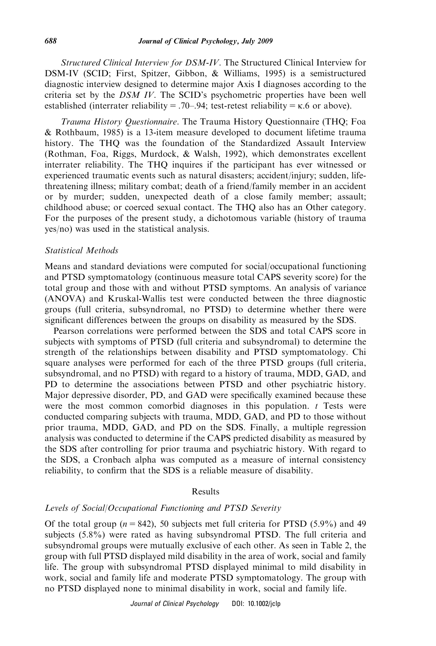Structured Clinical Interview for DSM-IV. The Structured Clinical Interview for DSM-IV (SCID; First, Spitzer, Gibbon, & Williams, 1995) is a semistructured diagnostic interview designed to determine major Axis I diagnoses according to the criteria set by the DSM IV. The SCID's psychometric properties have been well established (interrater reliability = .70–.94; test-retest reliability =  $\kappa$ .6 or above).

Trauma History Questionnaire. The Trauma History Questionnaire (THQ; Foa & Rothbaum, 1985) is a 13-item measure developed to document lifetime trauma history. The THQ was the foundation of the Standardized Assault Interview (Rothman, Foa, Riggs, Murdock, & Walsh, 1992), which demonstrates excellent interrater reliability. The THQ inquires if the participant has ever witnessed or experienced traumatic events such as natural disasters; accident/injury; sudden, lifethreatening illness; military combat; death of a friend/family member in an accident or by murder; sudden, unexpected death of a close family member; assault; childhood abuse; or coerced sexual contact. The THQ also has an Other category. For the purposes of the present study, a dichotomous variable (history of trauma yes/no) was used in the statistical analysis.

#### Statistical Methods

Means and standard deviations were computed for social/occupational functioning and PTSD symptomatology (continuous measure total CAPS severity score) for the total group and those with and without PTSD symptoms. An analysis of variance (ANOVA) and Kruskal-Wallis test were conducted between the three diagnostic groups (full criteria, subsyndromal, no PTSD) to determine whether there were significant differences between the groups on disability as measured by the SDS.

Pearson correlations were performed between the SDS and total CAPS score in subjects with symptoms of PTSD (full criteria and subsyndromal) to determine the strength of the relationships between disability and PTSD symptomatology. Chi square analyses were performed for each of the three PTSD groups (full criteria, subsyndromal, and no PTSD) with regard to a history of trauma, MDD, GAD, and PD to determine the associations between PTSD and other psychiatric history. Major depressive disorder, PD, and GAD were specifically examined because these were the most common comorbid diagnoses in this population.  $t$  Tests were conducted comparing subjects with trauma, MDD, GAD, and PD to those without prior trauma, MDD, GAD, and PD on the SDS. Finally, a multiple regression analysis was conducted to determine if the CAPS predicted disability as measured by the SDS after controlling for prior trauma and psychiatric history. With regard to the SDS, a Cronbach alpha was computed as a measure of internal consistency reliability, to confirm that the SDS is a reliable measure of disability.

### Results

#### Levels of Social/Occupational Functioning and PTSD Severity

Of the total group  $(n = 842)$ , 50 subjects met full criteria for PTSD (5.9%) and 49 subjects (5.8%) were rated as having subsyndromal PTSD. The full criteria and subsyndromal groups were mutually exclusive of each other. As seen in Table 2, the group with full PTSD displayed mild disability in the area of work, social and family life. The group with subsyndromal PTSD displayed minimal to mild disability in work, social and family life and moderate PTSD symptomatology. The group with no PTSD displayed none to minimal disability in work, social and family life.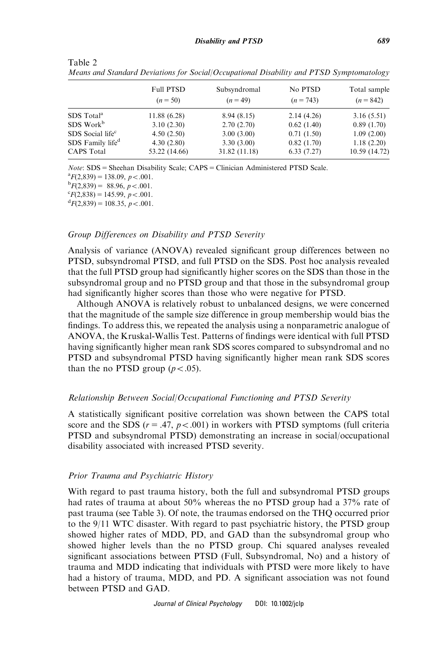|                              | <b>Full PTSD</b><br>$(n = 50)$ | Subsyndromal<br>$(n = 49)$ | No PTSD<br>$(n = 743)$ | Total sample<br>$(n = 842)$ |
|------------------------------|--------------------------------|----------------------------|------------------------|-----------------------------|
| SDS Total <sup>a</sup>       | 11.88(6.28)                    | 8.94 (8.15)                | 2.14(4.26)             | 3.16(5.51)                  |
| SDS Work <sup>b</sup>        | 3.10(2.30)                     | 2.70(2.70)                 | 0.62(1.40)             | 0.89(1.70)                  |
| SDS Social life <sup>c</sup> | 4.50(2.50)                     | 3.00(3.00)                 | 0.71(1.50)             | 1.09(2.00)                  |
| SDS Family life <sup>d</sup> | 4.30(2.80)                     | 3.30(3.00)                 | 0.82(1.70)             | 1.18(2.20)                  |
| <b>CAPS</b> Total            | 53.22 (14.66)                  | 31.82 (11.18)              | 6.33(7.27)             | 10.59 (14.72)               |

Table 2 Means and Standard Deviations for Social/Occupational Disability and PTSD Symptomatology

 $Note: SDS = Sheehan Disability Scale; CAPS = Clinician Administered PTSD Scale.$ 

 ${}^{a}F(2,839) = 138.09, p < .001.$ 

 ${}^{b}F(2,839) = 88.96, p < .001.$  ${}^{c}F(2,838) = 145.99, p < .001.$ 

 ${}^{d}F(2,839) = 108.35, p < .001.$ 

## Group Differences on Disability and PTSD Severity

Analysis of variance (ANOVA) revealed significant group differences between no PTSD, subsyndromal PTSD, and full PTSD on the SDS. Post hoc analysis revealed that the full PTSD group had significantly higher scores on the SDS than those in the subsyndromal group and no PTSD group and that those in the subsyndromal group had significantly higher scores than those who were negative for PTSD.

Although ANOVA is relatively robust to unbalanced designs, we were concerned that the magnitude of the sample size difference in group membership would bias the findings. To address this, we repeated the analysis using a nonparametric analogue of ANOVA, the Kruskal-Wallis Test. Patterns of findings were identical with full PTSD having significantly higher mean rank SDS scores compared to subsyndromal and no PTSD and subsyndromal PTSD having significantly higher mean rank SDS scores than the no PTSD group  $(p < .05)$ .

## Relationship Between Social/Occupational Functioning and PTSD Severity

A statistically significant positive correlation was shown between the CAPS total score and the SDS ( $r = .47$ ,  $p < .001$ ) in workers with PTSD symptoms (full criteria PTSD and subsyndromal PTSD) demonstrating an increase in social/occupational disability associated with increased PTSD severity.

## Prior Trauma and Psychiatric History

With regard to past trauma history, both the full and subsyndromal PTSD groups had rates of trauma at about 50% whereas the no PTSD group had a 37% rate of past trauma (see Table 3). Of note, the traumas endorsed on the THQ occurred prior to the 9/11 WTC disaster. With regard to past psychiatric history, the PTSD group showed higher rates of MDD, PD, and GAD than the subsyndromal group who showed higher levels than the no PTSD group. Chi squared analyses revealed significant associations between PTSD (Full, Subsyndromal, No) and a history of trauma and MDD indicating that individuals with PTSD were more likely to have had a history of trauma, MDD, and PD. A significant association was not found between PTSD and GAD.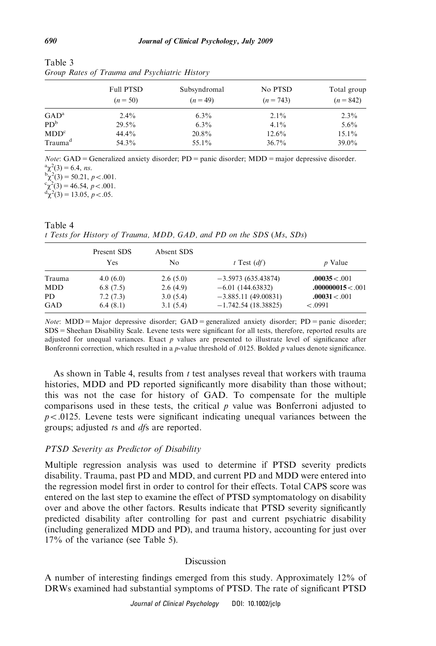|                     | <b>Full PTSD</b><br>$(n = 50)$ | Subsyndromal<br>$(n=49)$ | No PTSD<br>$(n = 743)$ | Total group<br>$(n = 842)$ |
|---------------------|--------------------------------|--------------------------|------------------------|----------------------------|
| GAD <sup>a</sup>    | $2.4\%$                        | $6.3\%$                  | $2.1\%$                | $2.3\%$                    |
| $PD^b$              | $29.5\%$                       | $6.3\%$                  | $4.1\%$                | $5.6\%$                    |
| MDD <sup>c</sup>    | $44.4\%$                       | $20.8\%$                 | $12.6\%$               | $15.1\%$                   |
| Trauma <sup>d</sup> | 54.3%                          | 55.1%                    | $36.7\%$               | $39.0\%$                   |

Table 3 Group Rates of Trauma and Psychiatric History

*Note*: GAD = Generalized anxiety disorder; PD = panic disorder; MDD = major depressive disorder.  ${}_{\text{b}}^{\text{a}} \chi^2(3) = 6.4$ , ns.<br> ${}_{\text{b}}^{\text{b}} \chi^2(3) = 50.21$ 

 $^{\text{b}}\chi^2(3) = 50.21, p < .001.$ <br> $^{\text{c}}\chi^2(3) = 46.54, p < .001.$ 

 ${}^{\circ}\chi^2(3) = 46.54, p < .001.$ <br> ${}^{\circ}\chi^2(3) = 13.05, p < .05$ 

 $\chi^2(3) = 13.05, p < .05.$ 

Table 4 t Tests for History of Trauma, MDD, GAD, and PD on the SDS (Ms, SDs)

|            | Present SDS<br>Yes | Absent SDS<br>No | t Test $(df)$         | <i>p</i> Value      |
|------------|--------------------|------------------|-----------------------|---------------------|
| Trauma     | 4.0(6.0)           | 2.6(5.0)         | $-3.5973(635.43874)$  | .00035 < .001       |
| MDD        | 6.8(7.5)           | 2.6(4.9)         | $-6.01(144.63832)$    | $.000000015$ < 0.01 |
| <b>PD</b>  | 7.2(7.3)           | 3.0(5.4)         | $-3.885.11(49.00831)$ | .00031 < .001       |
| <b>GAD</b> | 6.4(8.1)           | 3.1(5.4)         | $-1.742.54(18.38825)$ | $-.0991$            |

*Note*: MDD = Major depressive disorder; GAD = generalized anxiety disorder; PD = panic disorder; SDS 5 Sheehan Disability Scale. Levene tests were significant for all tests, therefore, reported results are adjusted for unequal variances. Exact  $p$  values are presented to illustrate level of significance after Bonferonni correction, which resulted in a  $p$ -value threshold of .0125. Bolded  $p$  values denote significance.

As shown in Table 4, results from  $t$  test analyses reveal that workers with trauma histories, MDD and PD reported significantly more disability than those without; this was not the case for history of GAD. To compensate for the multiple comparisons used in these tests, the critical  $p$  value was Bonferroni adjusted to  $p<0.0125$ . Levene tests were significant indicating unequal variances between the groups; adjusted ts and dfs are reported.

## PTSD Severity as Predictor of Disability

Multiple regression analysis was used to determine if PTSD severity predicts disability. Trauma, past PD and MDD, and current PD and MDD were entered into the regression model first in order to control for their effects. Total CAPS score was entered on the last step to examine the effect of PTSD symptomatology on disability over and above the other factors. Results indicate that PTSD severity significantly predicted disability after controlling for past and current psychiatric disability (including generalized MDD and PD), and trauma history, accounting for just over 17% of the variance (see Table 5).

#### Discussion

A number of interesting findings emerged from this study. Approximately 12% of DRWs examined had substantial symptoms of PTSD. The rate of significant PTSD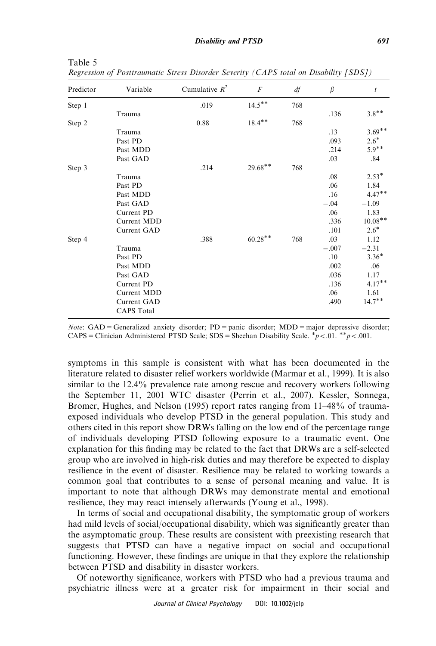| Predictor | Variable                         | Cumulative $R^2$ | $\overline{F}$ | df  | $\beta$ | $\boldsymbol{t}$ |
|-----------|----------------------------------|------------------|----------------|-----|---------|------------------|
| Step 1    |                                  | .019             | $14.5***$      | 768 |         |                  |
|           | Trauma                           |                  |                |     | .136    | $3.8***$         |
| Step 2    |                                  | 0.88             | $18.4***$      | 768 |         |                  |
|           | Trauma                           |                  |                |     | .13     | $3.69***$        |
|           | Past PD                          |                  |                |     | .093    | $2.6*$           |
|           | Past MDD                         |                  |                |     | .214    | $5.9***$         |
|           | Past GAD                         |                  |                |     | .03     | .84              |
| Step 3    |                                  | .214             | 29.68**        | 768 |         |                  |
|           | Trauma                           |                  |                |     | .08     | $2.53*$          |
|           | Past PD                          |                  |                |     | .06     | 1.84             |
|           | Past MDD                         |                  |                |     | .16     | $4.47**$         |
|           | Past GAD                         |                  |                |     | $-.04$  | $-1.09$          |
|           | Current PD                       |                  |                |     | .06     | 1.83             |
|           | Current MDD                      |                  |                |     | .336    | $10.08**$        |
|           | Current GAD                      |                  |                |     | .101    | $2.6*$           |
| Step 4    |                                  | .388             | $60.28***$     | 768 | .03     | 1.12             |
|           | Trauma                           |                  |                |     | $-.007$ | $-2.31$          |
|           | Past PD                          |                  |                |     | .10     | $3.36*$          |
|           | Past MDD                         |                  |                |     | .002    | .06              |
|           | Past GAD                         |                  |                |     | .036    | 1.17             |
|           | Current PD                       |                  |                |     | .136    | $4.17***$        |
|           | Current MDD                      |                  |                |     | .06     | 1.61             |
|           | Current GAD<br><b>CAPS</b> Total |                  |                |     | .490    | $14.7***$        |

Regression of Posttraumatic Stress Disorder Severity (CAPS total on Disability [SDS])

Table 5

*Note:* GAD = Generalized anxiety disorder; PD = panic disorder; MDD = major depressive disorder; CAPS = Clinician Administered PTSD Scale; SDS = Sheehan Disability Scale.  $p < 0.01$ .  $* p < 0.01$ .

symptoms in this sample is consistent with what has been documented in the literature related to disaster relief workers worldwide (Marmar et al., 1999). It is also similar to the 12.4% prevalence rate among rescue and recovery workers following the September 11, 2001 WTC disaster (Perrin et al., 2007). Kessler, Sonnega, Bromer, Hughes, and Nelson (1995) report rates ranging from 11–48% of traumaexposed individuals who develop PTSD in the general population. This study and others cited in this report show DRWs falling on the low end of the percentage range of individuals developing PTSD following exposure to a traumatic event. One explanation for this finding may be related to the fact that DRWs are a self-selected group who are involved in high-risk duties and may therefore be expected to display resilience in the event of disaster. Resilience may be related to working towards a common goal that contributes to a sense of personal meaning and value. It is important to note that although DRWs may demonstrate mental and emotional resilience, they may react intensely afterwards (Young et al., 1998).

In terms of social and occupational disability, the symptomatic group of workers had mild levels of social/occupational disability, which was significantly greater than the asymptomatic group. These results are consistent with preexisting research that suggests that PTSD can have a negative impact on social and occupational functioning. However, these findings are unique in that they explore the relationship between PTSD and disability in disaster workers.

Of noteworthy significance, workers with PTSD who had a previous trauma and psychiatric illness were at a greater risk for impairment in their social and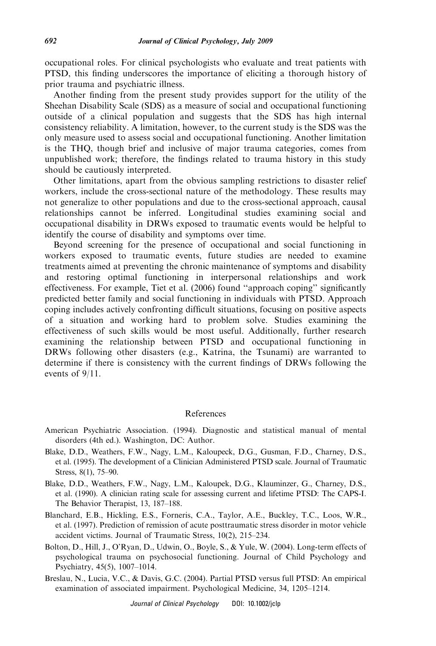occupational roles. For clinical psychologists who evaluate and treat patients with PTSD, this finding underscores the importance of eliciting a thorough history of prior trauma and psychiatric illness.

Another finding from the present study provides support for the utility of the Sheehan Disability Scale (SDS) as a measure of social and occupational functioning outside of a clinical population and suggests that the SDS has high internal consistency reliability. A limitation, however, to the current study is the SDS was the only measure used to assess social and occupational functioning. Another limitation is the THQ, though brief and inclusive of major trauma categories, comes from unpublished work; therefore, the findings related to trauma history in this study should be cautiously interpreted.

Other limitations, apart from the obvious sampling restrictions to disaster relief workers, include the cross-sectional nature of the methodology. These results may not generalize to other populations and due to the cross-sectional approach, causal relationships cannot be inferred. Longitudinal studies examining social and occupational disability in DRWs exposed to traumatic events would be helpful to identify the course of disability and symptoms over time.

Beyond screening for the presence of occupational and social functioning in workers exposed to traumatic events, future studies are needed to examine treatments aimed at preventing the chronic maintenance of symptoms and disability and restoring optimal functioning in interpersonal relationships and work effectiveness. For example, Tiet et al. (2006) found ''approach coping'' significantly predicted better family and social functioning in individuals with PTSD. Approach coping includes actively confronting difficult situations, focusing on positive aspects of a situation and working hard to problem solve. Studies examining the effectiveness of such skills would be most useful. Additionally, further research examining the relationship between PTSD and occupational functioning in DRWs following other disasters (e.g., Katrina, the Tsunami) are warranted to determine if there is consistency with the current findings of DRWs following the events of 9/11.

#### References

- American Psychiatric Association. (1994). Diagnostic and statistical manual of mental disorders (4th ed.). Washington, DC: Author.
- Blake, D.D., Weathers, F.W., Nagy, L.M., Kaloupeck, D.G., Gusman, F.D., Charney, D.S., et al. (1995). The development of a Clinician Administered PTSD scale. Journal of Traumatic Stress, 8(1), 75–90.
- Blake, D.D., Weathers, F.W., Nagy, L.M., Kaloupek, D.G., Klauminzer, G., Charney, D.S., et al. (1990). A clinician rating scale for assessing current and lifetime PTSD: The CAPS-I. The Behavior Therapist, 13, 187–188.
- Blanchard, E.B., Hickling, E.S., Forneris, C.A., Taylor, A.E., Buckley, T.C., Loos, W.R., et al. (1997). Prediction of remission of acute posttraumatic stress disorder in motor vehicle accident victims. Journal of Traumatic Stress, 10(2), 215–234.
- Bolton, D., Hill, J., O'Ryan, D., Udwin, O., Boyle, S., & Yule, W. (2004). Long-term effects of psychological trauma on psychosocial functioning. Journal of Child Psychology and Psychiatry, 45(5), 1007–1014.
- Breslau, N., Lucia, V.C., & Davis, G.C. (2004). Partial PTSD versus full PTSD: An empirical examination of associated impairment. Psychological Medicine, 34, 1205–1214.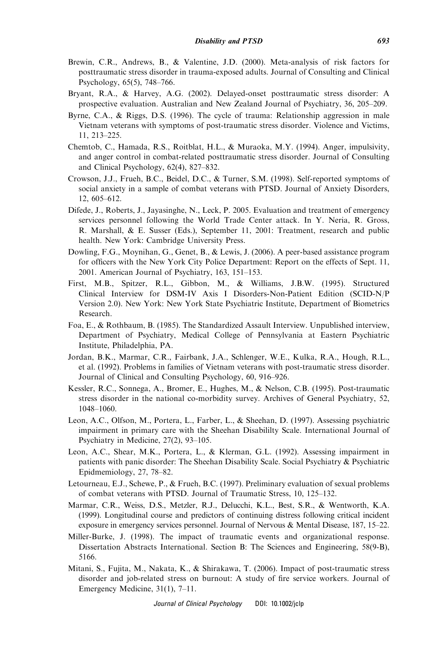- Brewin, C.R., Andrews, B., & Valentine, J.D. (2000). Meta-analysis of risk factors for posttraumatic stress disorder in trauma-exposed adults. Journal of Consulting and Clinical Psychology, 65(5), 748–766.
- Bryant, R.A., & Harvey, A.G. (2002). Delayed-onset posttraumatic stress disorder: A prospective evaluation. Australian and New Zealand Journal of Psychiatry, 36, 205–209.
- Byrne, C.A., & Riggs, D.S. (1996). The cycle of trauma: Relationship aggression in male Vietnam veterans with symptoms of post-traumatic stress disorder. Violence and Victims, 11, 213–225.
- Chemtob, C., Hamada, R.S., Roitblat, H.L., & Muraoka, M.Y. (1994). Anger, impulsivity, and anger control in combat-related posttraumatic stress disorder. Journal of Consulting and Clinical Psychology, 62(4), 827–832.
- Crowson, J.J., Frueh, B.C., Beidel, D.C., & Turner, S.M. (1998). Self-reported symptoms of social anxiety in a sample of combat veterans with PTSD. Journal of Anxiety Disorders, 12, 605–612.
- Difede, J., Roberts, J., Jayasinghe, N., Leck, P. 2005. Evaluation and treatment of emergency services personnel following the World Trade Center attack. In Y. Neria, R. Gross, R. Marshall, & E. Susser (Eds.), September 11, 2001: Treatment, research and public health. New York: Cambridge University Press.
- Dowling, F.G., Moynihan, G., Genet, B., & Lewis, J. (2006). A peer-based assistance program for officers with the New York City Police Department: Report on the effects of Sept. 11, 2001. American Journal of Psychiatry, 163, 151–153.
- First, M.B., Spitzer, R.L., Gibbon, M., & Williams, J.B.W. (1995). Structured Clinical Interview for DSM-IV Axis I Disorders-Non-Patient Edition (SCID-N/P Version 2.0). New York: New York State Psychiatric Institute, Department of Biometrics Research.
- Foa, E., & Rothbaum, B. (1985). The Standardized Assault Interview. Unpublished interview, Department of Psychiatry, Medical College of Pennsylvania at Eastern Psychiatric Institute, Philadelphia, PA.
- Jordan, B.K., Marmar, C.R., Fairbank, J.A., Schlenger, W.E., Kulka, R.A., Hough, R.L., et al. (1992). Problems in families of Vietnam veterans with post-traumatic stress disorder. Journal of Clinical and Consulting Psychology, 60, 916–926.
- Kessler, R.C., Sonnega, A., Bromer, E., Hughes, M., & Nelson, C.B. (1995). Post-traumatic stress disorder in the national co-morbidity survey. Archives of General Psychiatry, 52, 1048–1060.
- Leon, A.C., Olfson, M., Portera, L., Farber, L., & Sheehan, D. (1997). Assessing psychiatric impairment in primary care with the Sheehan Disabililty Scale. International Journal of Psychiatry in Medicine, 27(2), 93–105.
- Leon, A.C., Shear, M.K., Portera, L., & Klerman, G.L. (1992). Assessing impairment in patients with panic disorder: The Sheehan Disability Scale. Social Psychiatry & Psychiatric Epidmemiology, 27, 78–82.
- Letourneau, E.J., Schewe, P., & Frueh, B.C. (1997). Preliminary evaluation of sexual problems of combat veterans with PTSD. Journal of Traumatic Stress, 10, 125–132.
- Marmar, C.R., Weiss, D.S., Metzler, R.J., Delucchi, K.L., Best, S.R., & Wentworth, K.A. (1999). Longitudinal course and predictors of continuing distress following critical incident exposure in emergency services personnel. Journal of Nervous & Mental Disease, 187, 15–22.
- Miller-Burke, J. (1998). The impact of traumatic events and organizational response. Dissertation Abstracts International. Section B: The Sciences and Engineering, 58(9-B), 5166.
- Mitani, S., Fujita, M., Nakata, K., & Shirakawa, T. (2006). Impact of post-traumatic stress disorder and job-related stress on burnout: A study of fire service workers. Journal of Emergency Medicine, 31(1), 7–11.